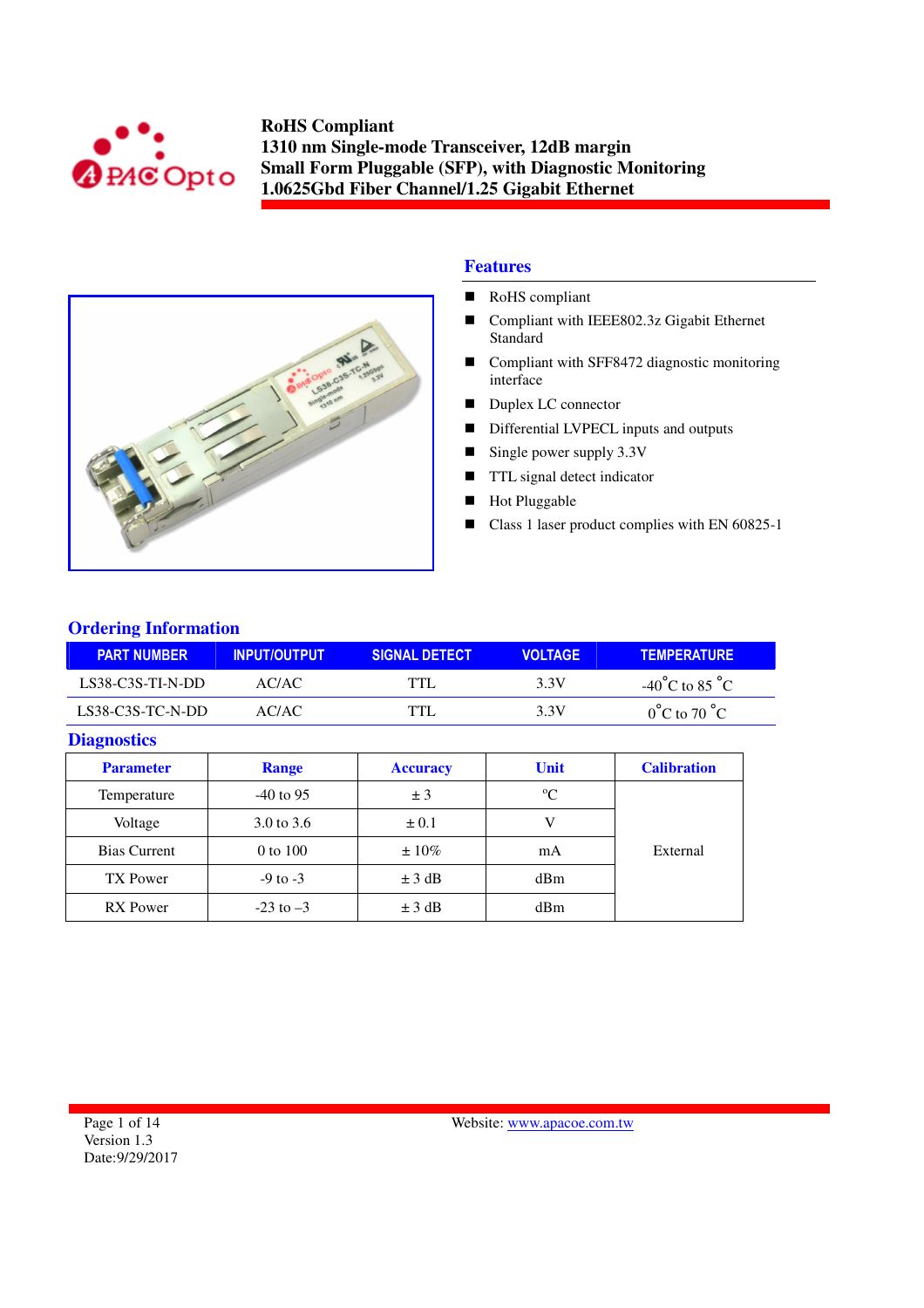



## **Features**

- RoHS compliant
- Compliant with IEEE802.3z Gigabit Ethernet Standard
- Compliant with SFF8472 diagnostic monitoring interface
- Duplex LC connector
- Differential LVPECL inputs and outputs
- Single power supply  $3.3V$
- **TTL** signal detect indicator
- Hot Pluggable
- Class 1 laser product complies with EN 60825-1

## **Ordering Information**

| <b>PART NUMBER</b> | <b>INPUT/OUTPUT</b> | <b>SIGNAL DETECT</b> | <b>VOLTAGE</b> | <b>TEMPERATURE</b>                 |
|--------------------|---------------------|----------------------|----------------|------------------------------------|
| LS38-C3S-TI-N-DD   | AC/AC               | <b>TTL</b>           | 3.3V           | $-40^{\circ}$ C to 85 $^{\circ}$ C |
| $LS38-C3S-TC-N-DD$ | AC/AC.              | <b>TTL</b>           | 3.3V           | $0^{\circ}$ C to 70 $^{\circ}$ C   |

#### **Diagnostics**

| <b>Parameter</b>    | <b>Range</b>  | <b>Accuracy</b> | <b>Unit</b> | <b>Calibration</b> |
|---------------------|---------------|-----------------|-------------|--------------------|
| Temperature         | $-40$ to 95   | ± 3             | $\rm ^{o}C$ |                    |
| Voltage             | 3.0 to 3.6    | $\pm 0.1$       |             |                    |
| <b>Bias Current</b> | 0 to 100      | $\pm 10\%$      | mA          | External           |
| TX Power            | $-9$ to $-3$  | $\pm$ 3 dB      | dBm         |                    |
| <b>RX</b> Power     | $-23$ to $-3$ | $\pm$ 3 dB      | dBm         |                    |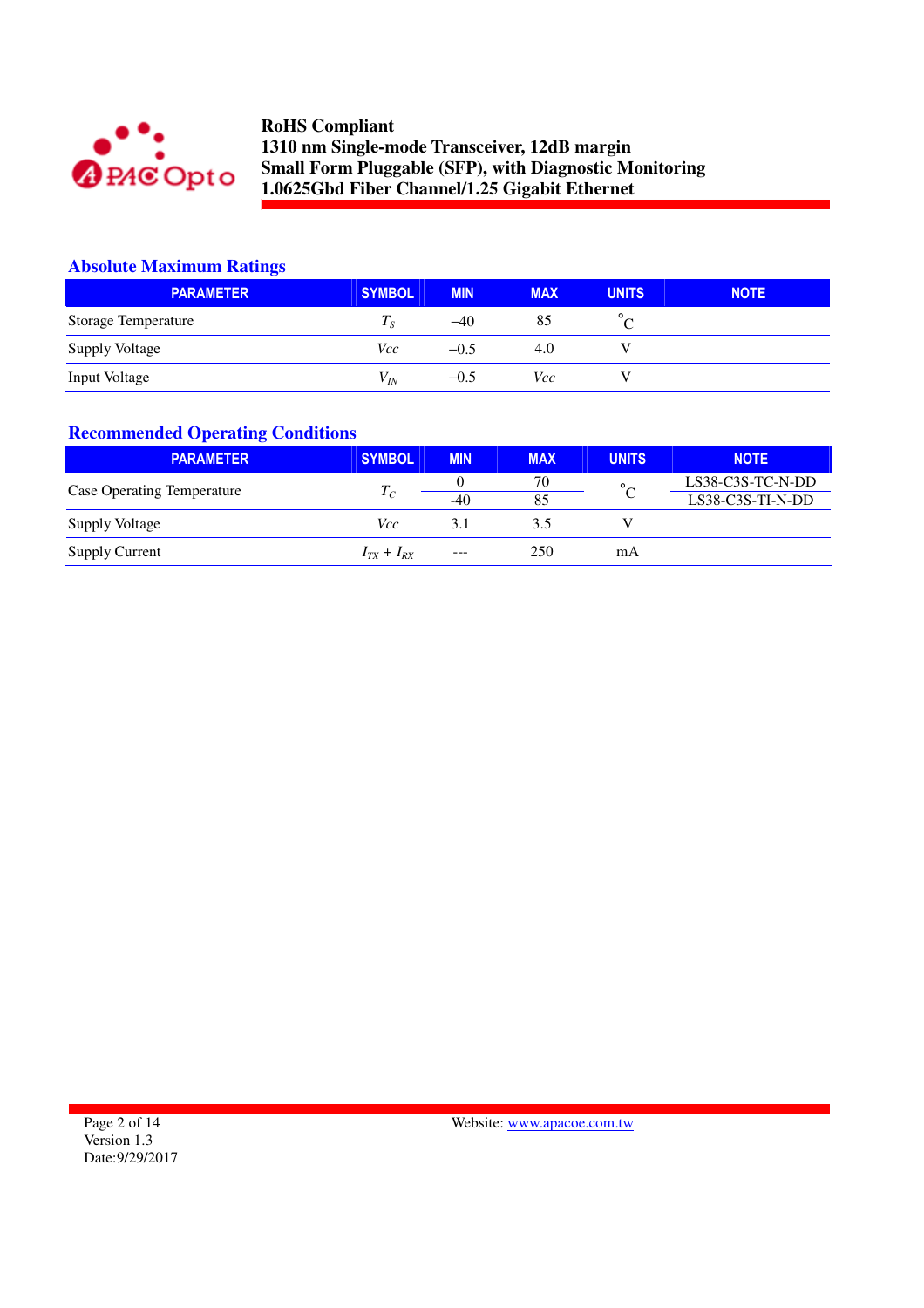

## **Absolute Maximum Ratings**

| <b>PARAMETER</b>      | <b>SYMBOL</b> | <b>MIN</b> | <b>MAX</b> | <b>UNITS</b> | <b>NOTE</b> |
|-----------------------|---------------|------------|------------|--------------|-------------|
| Storage Temperature   | Tе            | $-40$      | 85         |              |             |
| <b>Supply Voltage</b> | Vcc           | $-0.5$     | 4.0        |              |             |
| Input Voltage         | $V_{IN}$      | $-0.5$     | Vcc        |              |             |

## **Recommended Operating Conditions**

| <b>PARAMETER</b>                  | <b>SYMBOL</b>     | <b>MIN</b> | <b>MAX</b> | <b>UNITS</b> | <b>NOTE</b>      |
|-----------------------------------|-------------------|------------|------------|--------------|------------------|
| <b>Case Operating Temperature</b> | $T_C$             |            | 70         | $\circ$      | LS38-C3S-TC-N-DD |
|                                   |                   | $-40$      | 85         |              | LS38-C3S-TI-N-DD |
| <b>Supply Voltage</b>             | Vcc               | 3.1        | 3.5        |              |                  |
| <b>Supply Current</b>             | $I_{TX} + I_{RX}$ | $---$      | 250        | mΑ           |                  |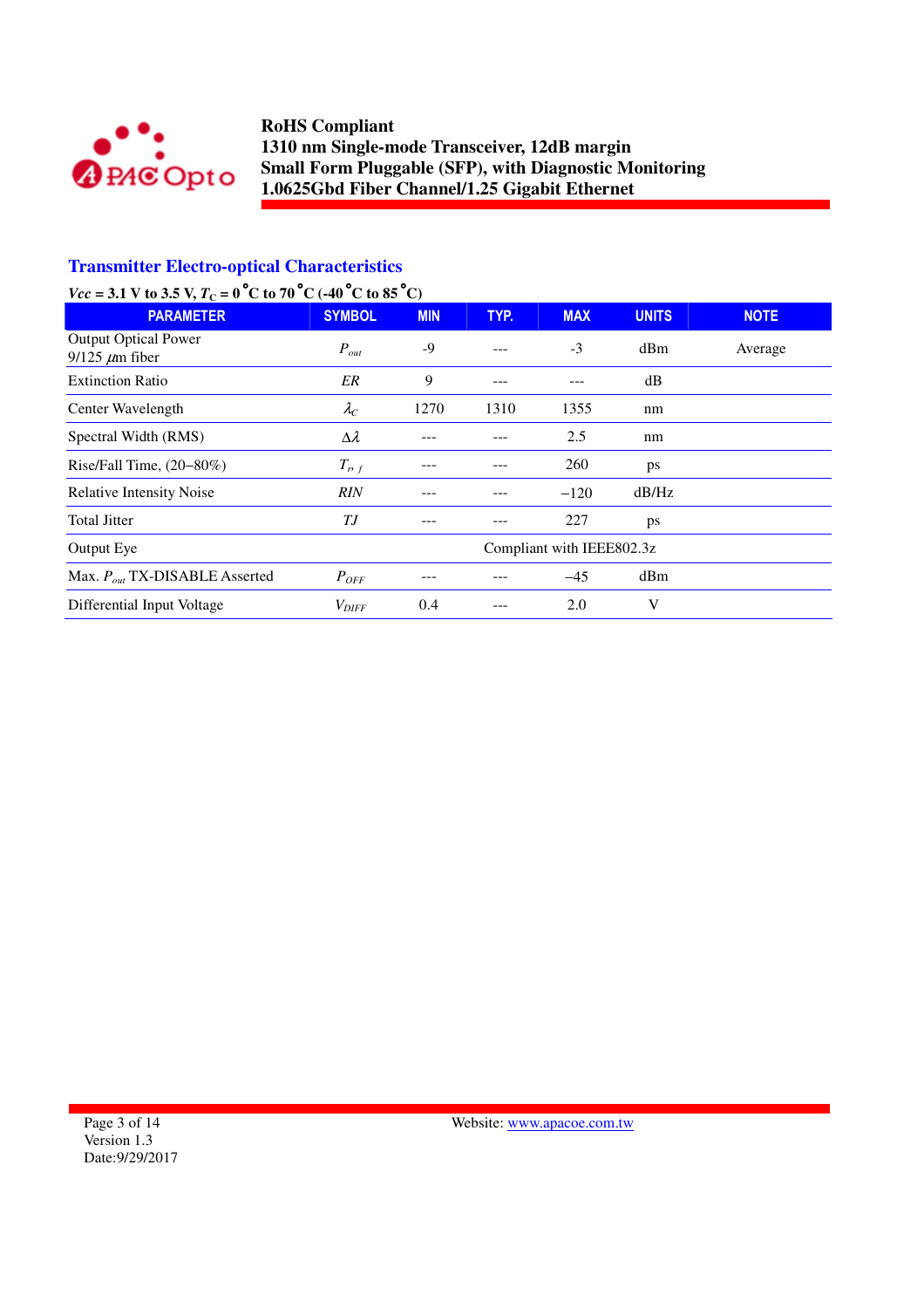

## **Transmitter Electro-optical Characteristics**

# *Vcc* = 3.1 V to 3.5 V,  $T_c = 0$  °C to 70 °C (-40 °C to 85 °C)

| <b>PARAMETER</b>                                     | <b>SYMBOL</b>             | <b>MIN</b> | TYP. | <b>MAX</b> | <b>UNITS</b> | <b>NOTE</b> |
|------------------------------------------------------|---------------------------|------------|------|------------|--------------|-------------|
| <b>Output Optical Power</b><br>$9/125 \ \mu m$ fiber | $P_{out}$                 | -9         |      | $-3$       | dBm          | Average     |
| <b>Extinction Ratio</b>                              | ER                        | 9          | ---  |            | dB           |             |
| Center Wavelength                                    | $\lambda_C$               | 1270       | 1310 | 1355       | nm           |             |
| Spectral Width (RMS)                                 | $\Delta \lambda$          |            |      | 2.5        | nm           |             |
| Rise/Fall Time, $(20-80\%)$                          | $T_{P,f}$                 |            |      | 260        | ps           |             |
| Relative Intensity Noise                             | RIN                       |            |      | $-120$     | dB/Hz        |             |
| <b>Total Jitter</b>                                  | ТJ                        |            |      | 227        | ps           |             |
| Output Eye                                           | Compliant with IEEE802.3z |            |      |            |              |             |
| Max. $P_{out}$ TX-DISABLE Asserted                   | $P_{OFF}$                 |            |      | $-45$      | dBm          |             |
| Differential Input Voltage                           | $V_{DIFF}$                | 0.4        |      | 2.0        | V            |             |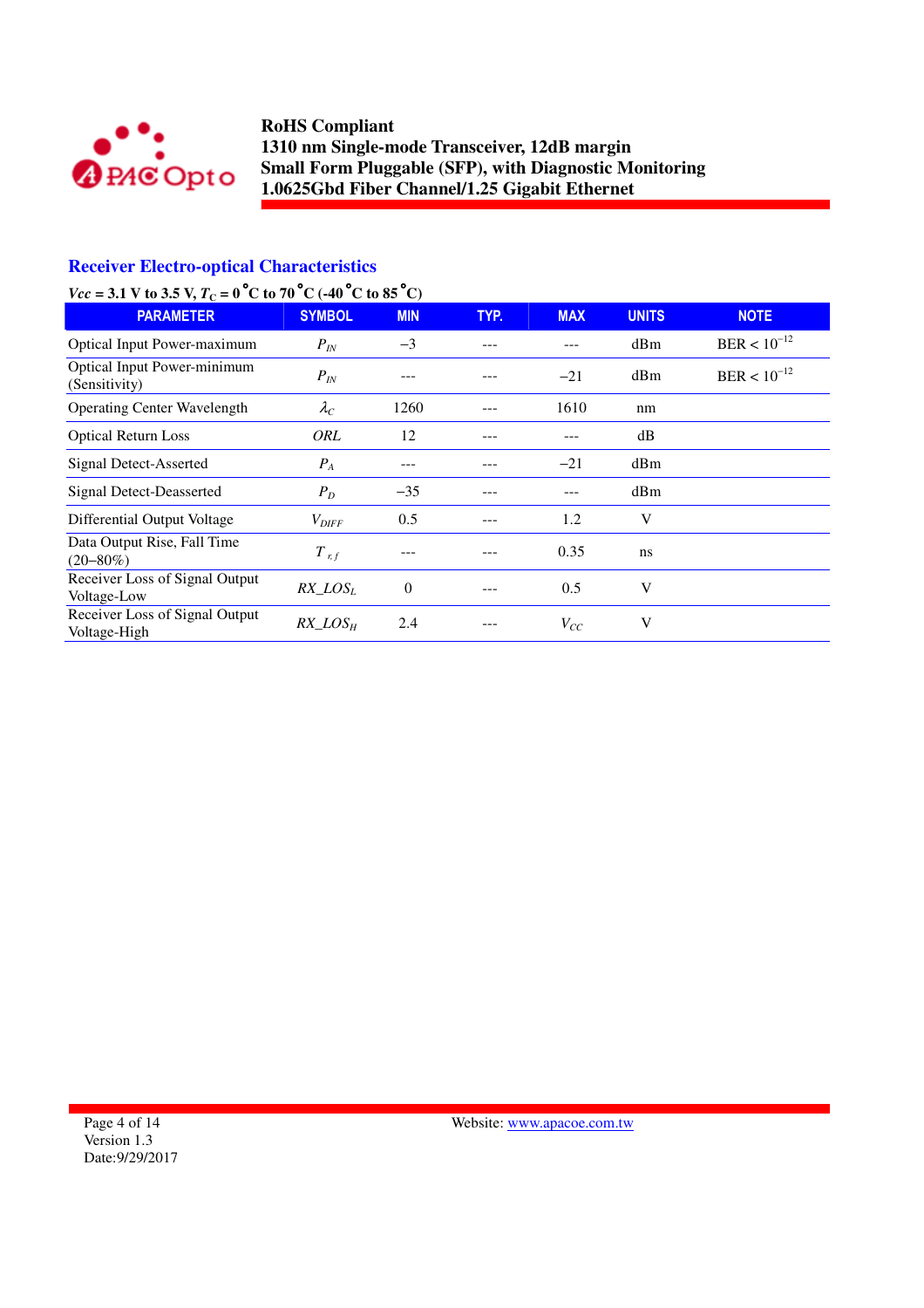

## **Receiver Electro-optical Characteristics**

# *Vcc* = 3.1 V to 3.5 V,  $T_c = 0$  °C to 70 °C (-40 °C to 85 °C)

| <b>PARAMETER</b>                                    | <b>SYMBOL</b>       | <b>MIN</b> | TYP. | <b>MAX</b> | <b>UNITS</b> | <b>NOTE</b>      |
|-----------------------------------------------------|---------------------|------------|------|------------|--------------|------------------|
| <b>Optical Input Power-maximum</b>                  | $P_{IN}$            | $-3$       |      |            | dBm          | $BER < 10^{-12}$ |
| <b>Optical Input Power-minimum</b><br>(Sensitivity) | $P_{IN}$            |            |      | $-21$      | dBm          | $BER < 10^{-12}$ |
| <b>Operating Center Wavelength</b>                  | $\lambda_C$         | 1260       |      | 1610       | nm           |                  |
| <b>Optical Return Loss</b>                          | <b>ORL</b>          | 12         |      |            | dB           |                  |
| Signal Detect-Asserted                              | $P_{A}$             |            |      | $-21$      | dBm          |                  |
| Signal Detect-Deasserted                            | $P_D$               | $-35$      |      |            | dBm          |                  |
| Differential Output Voltage                         | $V_{\text{DIFF}}$   | 0.5        |      | 1.2        | V            |                  |
| Data Output Rise, Fall Time<br>$(20 - 80\%)$        | $T$ <sub>r, f</sub> |            |      | 0.35       | ns           |                  |
| Receiver Loss of Signal Output<br>Voltage-Low       | $RX\_LOS_L$         | $\theta$   |      | 0.5        | V            |                  |
| Receiver Loss of Signal Output<br>Voltage-High      | $RX$ $LOS_H$        | 2.4        |      | $V_{CC}$   | V            |                  |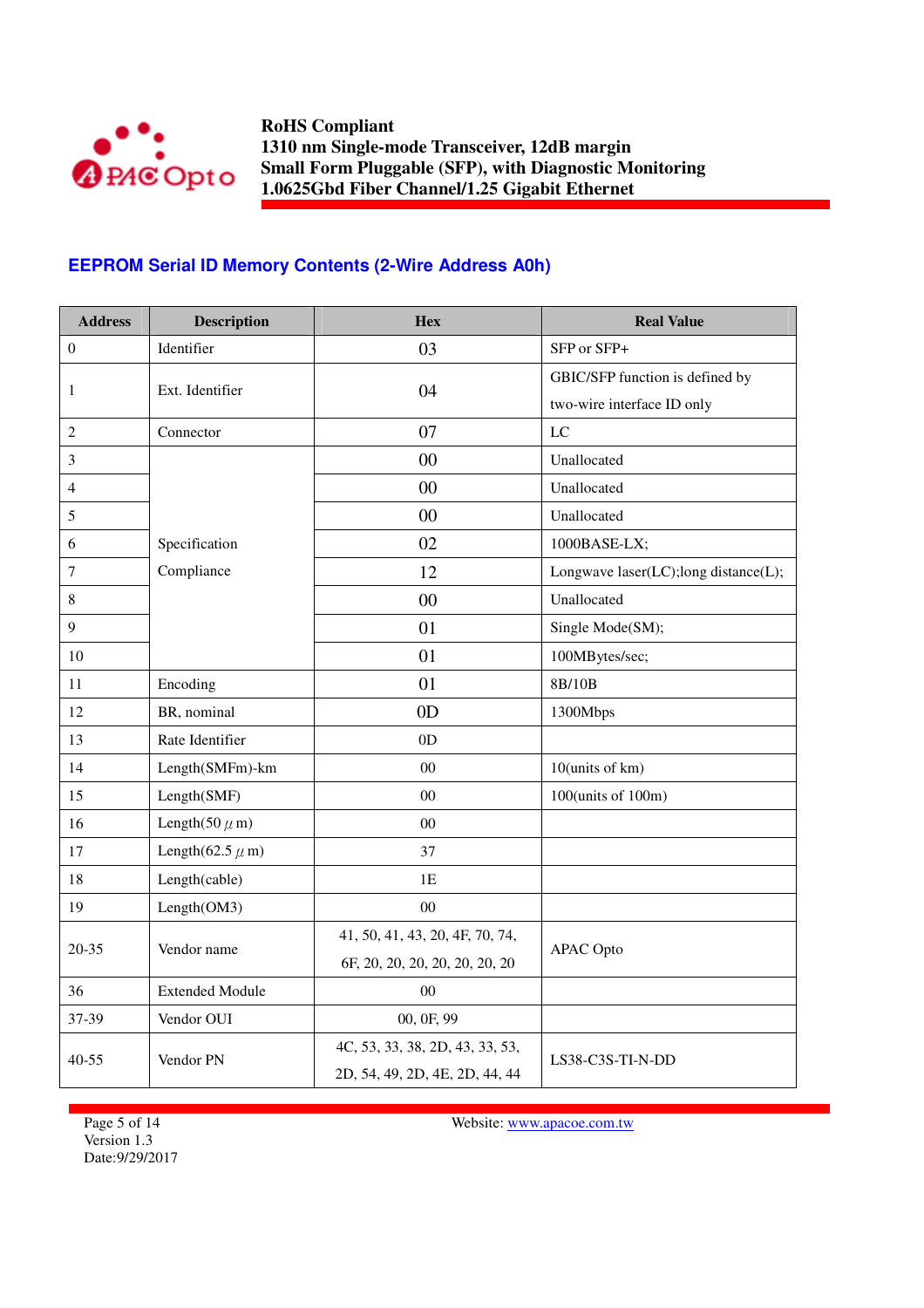

## **EEPROM Serial ID Memory Contents (2-Wire Address A0h)**

| <b>Address</b>   | <b>Description</b>              | <b>Hex</b>                      | <b>Real Value</b>                    |
|------------------|---------------------------------|---------------------------------|--------------------------------------|
| $\boldsymbol{0}$ | Identifier                      | 03                              | SFP or SFP+                          |
|                  | Ext. Identifier                 | 04                              | GBIC/SFP function is defined by      |
| 1                |                                 |                                 | two-wire interface ID only           |
| $\overline{2}$   | Connector                       | 07                              | LC                                   |
| $\mathfrak{Z}$   |                                 | 00                              | Unallocated                          |
| 4                |                                 | 00                              | Unallocated                          |
| 5                |                                 | $00\,$                          | Unallocated                          |
| 6                | Specification                   | 02                              | 1000BASE-LX;                         |
| $\boldsymbol{7}$ | Compliance                      | 12                              | Longwave laser(LC);long distance(L); |
| $\,8\,$          |                                 | 00                              | Unallocated                          |
| 9                |                                 | 01                              | Single Mode(SM);                     |
| 10               |                                 | 01                              | 100MBytes/sec;                       |
| 11               | Encoding                        | 01                              | 8B/10B                               |
| 12               | BR, nominal                     | 0 <sub>D</sub>                  | 1300Mbps                             |
| 13               | Rate Identifier                 | 0D                              |                                      |
| 14               | Length(SMFm)-km                 | $00\,$                          | 10(units of km)                      |
| 15               | Length(SMF)                     | $00\,$                          | 100(units of 100m)                   |
| 16               | Length $(50 \ \mu m)$           | $00\,$                          |                                      |
| 17               | Length $(62.5 \ \mu \text{ m})$ | 37                              |                                      |
| 18               | Length(cable)                   | 1E                              |                                      |
| 19               | Length(OM3)                     | $00\,$                          |                                      |
| $20 - 35$        | Vendor name                     | 41, 50, 41, 43, 20, 4F, 70, 74, |                                      |
|                  |                                 | 6F, 20, 20, 20, 20, 20, 20, 20  | <b>APAC</b> Opto                     |
| 36               | <b>Extended Module</b>          | 0 <sub>0</sub>                  |                                      |
| 37-39            | Vendor OUI                      | 00, 0F, 99                      |                                      |
|                  | Vendor PN                       | 4C, 53, 33, 38, 2D, 43, 33, 53, | LS38-C3S-TI-N-DD                     |
| $40 - 55$        |                                 | 2D, 54, 49, 2D, 4E, 2D, 44, 44  |                                      |

Page 5 of 14 Version 1.3 Date:9/29/2017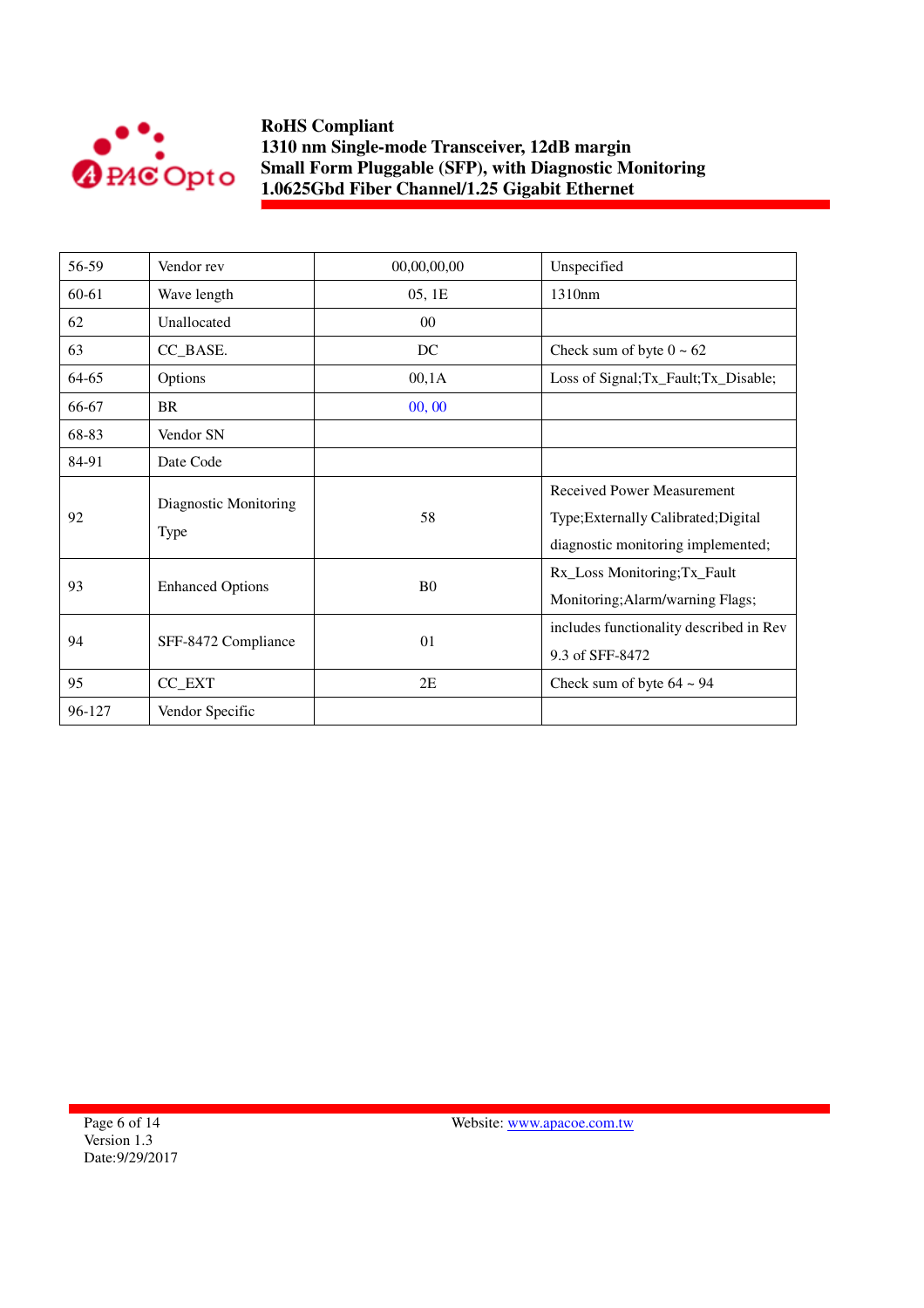

| 56-59  | Vendor rev                    | 00,00,00,00    | Unspecified                                                                                                     |
|--------|-------------------------------|----------------|-----------------------------------------------------------------------------------------------------------------|
| 60-61  | Wave length                   | 05, 1E         | 1310nm                                                                                                          |
| 62     | Unallocated                   | $00\,$         |                                                                                                                 |
| 63     | CC_BASE.                      | DC             | Check sum of byte $0 \sim 62$                                                                                   |
| 64-65  | Options                       | 00,1A          | Loss of Signal; Tx_Fault; Tx_Disable;                                                                           |
| 66-67  | <b>BR</b>                     | 00, 00         |                                                                                                                 |
| 68-83  | Vendor SN                     |                |                                                                                                                 |
| 84-91  | Date Code                     |                |                                                                                                                 |
| 92     | Diagnostic Monitoring<br>Type | 58             | <b>Received Power Measurement</b><br>Type; Externally Calibrated; Digital<br>diagnostic monitoring implemented; |
| 93     | <b>Enhanced Options</b>       | B <sub>0</sub> | Rx_Loss Monitoring;Tx_Fault<br>Monitoring; Alarm/warning Flags;                                                 |
| 94     | SFF-8472 Compliance           | 01             | includes functionality described in Rev<br>9.3 of SFF-8472                                                      |
| 95     | CC_EXT                        | 2E             | Check sum of byte $64 \sim 94$                                                                                  |
| 96-127 | Vendor Specific               |                |                                                                                                                 |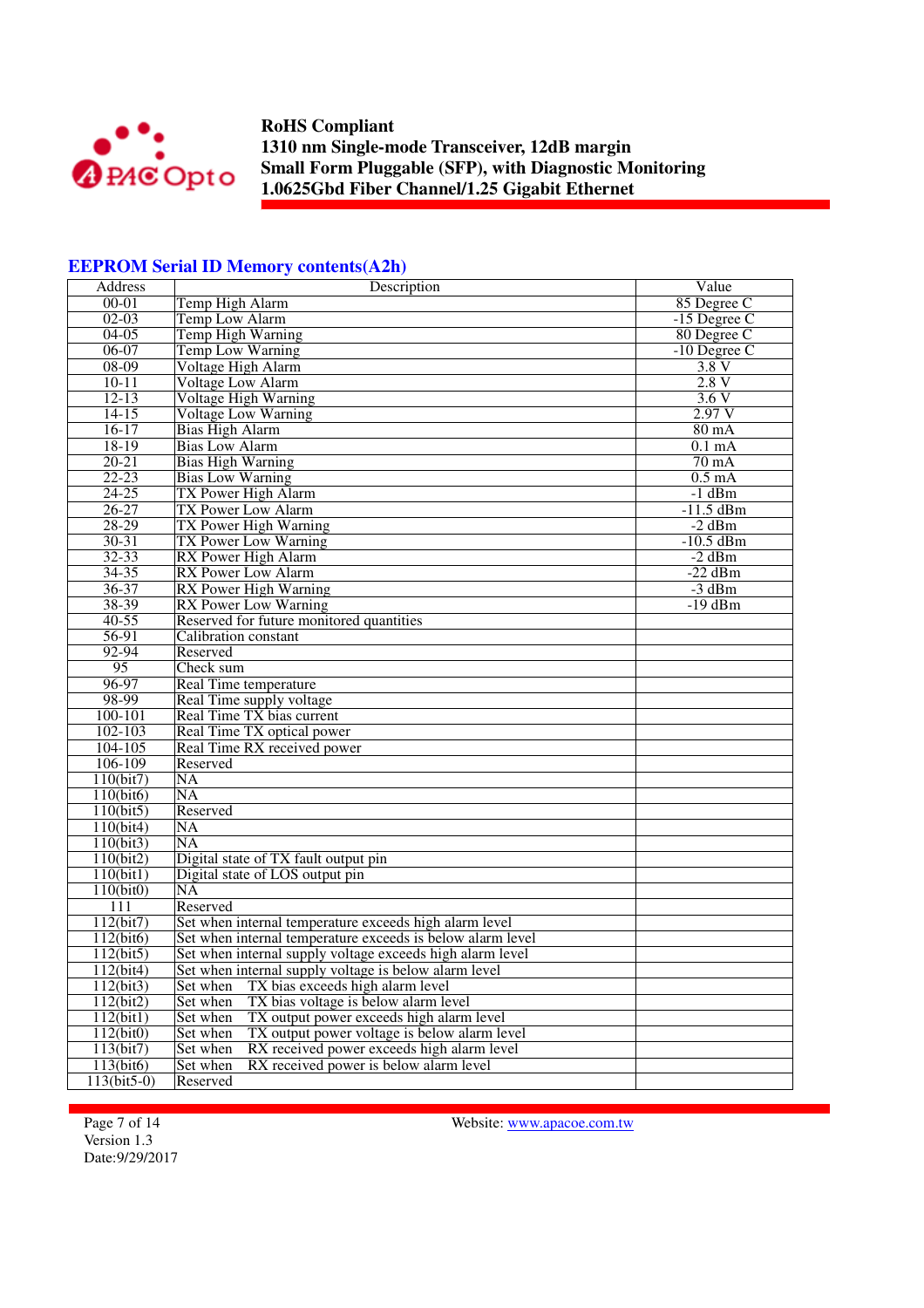

#### **EEPROM Serial ID Memory contents(A2h)**

| Address                | Description                                                | Value            |
|------------------------|------------------------------------------------------------|------------------|
| $00 - 01$              | Temp High Alarm                                            | 85 Degree C      |
| $02-03$                | Temp Low Alarm                                             | $-15$ Degree C   |
| $04 - 05$              | <b>Temp High Warning</b>                                   | 80 Degree C      |
| $06-07$                | <b>Temp Low Warning</b>                                    | $-10$ Degree C   |
| 08-09                  | Voltage High Alarm                                         | 3.8 V            |
| $10 - 11$              | <b>Voltage Low Alarm</b>                                   | 2.8V             |
| $12 - 13$              | Voltage High Warning                                       | 3.6V             |
| $14-15$                | Voltage Low Warning                                        | 2.97 V           |
| $16-17$                | <b>Bias High Alarm</b>                                     | $80 \text{ mA}$  |
| 18-19                  | <b>Bias Low Alarm</b>                                      | $0.1 \text{ mA}$ |
| $20 - 21$              | <b>Bias High Warning</b>                                   | $70 \text{ mA}$  |
| $22 - 23$              | <b>Bias Low Warning</b>                                    | $0.5 \text{ mA}$ |
| $24 - 25$              | TX Power High Alarm                                        | $-1$ dBm         |
| $26 - 27$              | <b>TX Power Low Alarm</b>                                  | $-11.5$ dBm      |
| $28-29$                | TX Power High Warning                                      | $-2$ dBm         |
| $30 - 31$              | TX Power Low Warning                                       | $-10.5$ dBm      |
| $32 - 33$              | RX Power High Alarm                                        | $-2$ dBm         |
| $34 - 35$              | <b>RX</b> Power Low Alarm                                  | $-22$ dBm        |
| $36 - 37$              | <b>RX</b> Power High Warning                               | $-3$ dBm         |
|                        |                                                            | $-19$ dBm        |
| 38-39                  | RX Power Low Warning                                       |                  |
| $40 - 55$              | Reserved for future monitored quantities                   |                  |
| $56-91$                | Calibration constant                                       |                  |
| $92 - 94$              | Reserved                                                   |                  |
| $\overline{95}$        | Check sum                                                  |                  |
| 96-97                  | Real Time temperature                                      |                  |
| 98-99                  | Real Time supply voltage                                   |                  |
| 100-101                | Real Time TX bias current                                  |                  |
| 102-103                | Real Time TX optical power                                 |                  |
| 104-105                | Real Time RX received power                                |                  |
| 106-109                | Reserved                                                   |                  |
| 110(bit7)              | <b>NA</b>                                                  |                  |
| $1\overline{10(bit6)}$ | $\overline{\text{NA}}$                                     |                  |
| 110(bit5)              | Reserved                                                   |                  |
| 110(bit4)              | $\overline{\text{NA}}$                                     |                  |
| 110(bit3)              | $\overline{\text{NA}}$                                     |                  |
| 110(bit2)              | Digital state of TX fault output pin                       |                  |
| 110(bit)               | Digital state of LOS output pin                            |                  |
| 110(bit0)              | <b>NA</b>                                                  |                  |
| 111                    | Reserved                                                   |                  |
| 112(bit7)              | Set when internal temperature exceeds high alarm level     |                  |
| 112(bit6)              | Set when internal temperature exceeds is below alarm level |                  |
| 112(bit5)              | Set when internal supply voltage exceeds high alarm level  |                  |
|                        |                                                            |                  |
| 112(bit4)              | Set when internal supply voltage is below alarm level      |                  |
| 112(bit3)              | Set when<br>TX bias exceeds high alarm level               |                  |
| 112(bit2)              | Set when<br>TX bias voltage is below alarm level           |                  |
| 112(bit1)              | TX output power exceeds high alarm level<br>Set when       |                  |
| 112(bit0)              | TX output power voltage is below alarm level<br>Set when   |                  |
| 113(bit7)              | Set when<br>RX received power exceeds high alarm level     |                  |
| 113(bit6)              | Set when<br>RX received power is below alarm level         |                  |
| 113(bit5-0)            | Reserved                                                   |                  |

Page 7 of 14 Version 1.3 Date:9/29/2017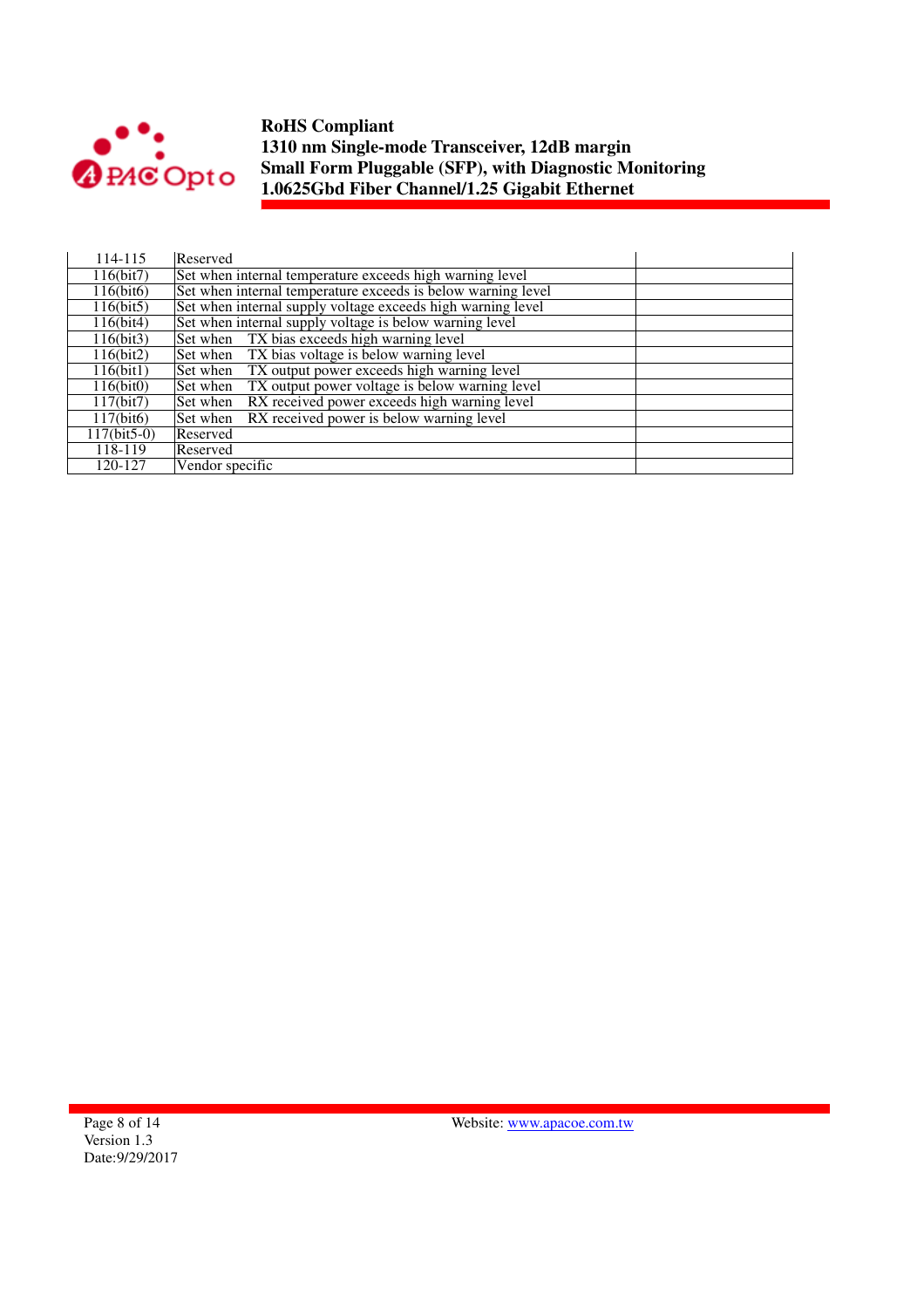

| 114-115       | Reserved                                                     |
|---------------|--------------------------------------------------------------|
| 116(bit7)     | Set when internal temperature exceeds high warning level     |
| 116(bit6)     | Set when internal temperature exceeds is below warning level |
| 116(bit5)     | Set when internal supply voltage exceeds high warning level  |
| 116(bit4)     | Set when internal supply voltage is below warning level      |
| 116(bit3)     | Set when TX bias exceeds high warning level                  |
| 116(bit2)     | Set when TX bias voltage is below warning level              |
| 116(bit1)     | TX output power exceeds high warning level<br>Set when       |
| 116(bit0)     | TX output power voltage is below warning level<br>Set when   |
| 117(bit7)     | RX received power exceeds high warning level<br>Set when     |
| 117(bit6)     | RX received power is below warning level<br>Set when         |
| $117(bit5-0)$ | Reserved                                                     |
| 118-119       | Reserved                                                     |
| 120-127       | Vendor specific                                              |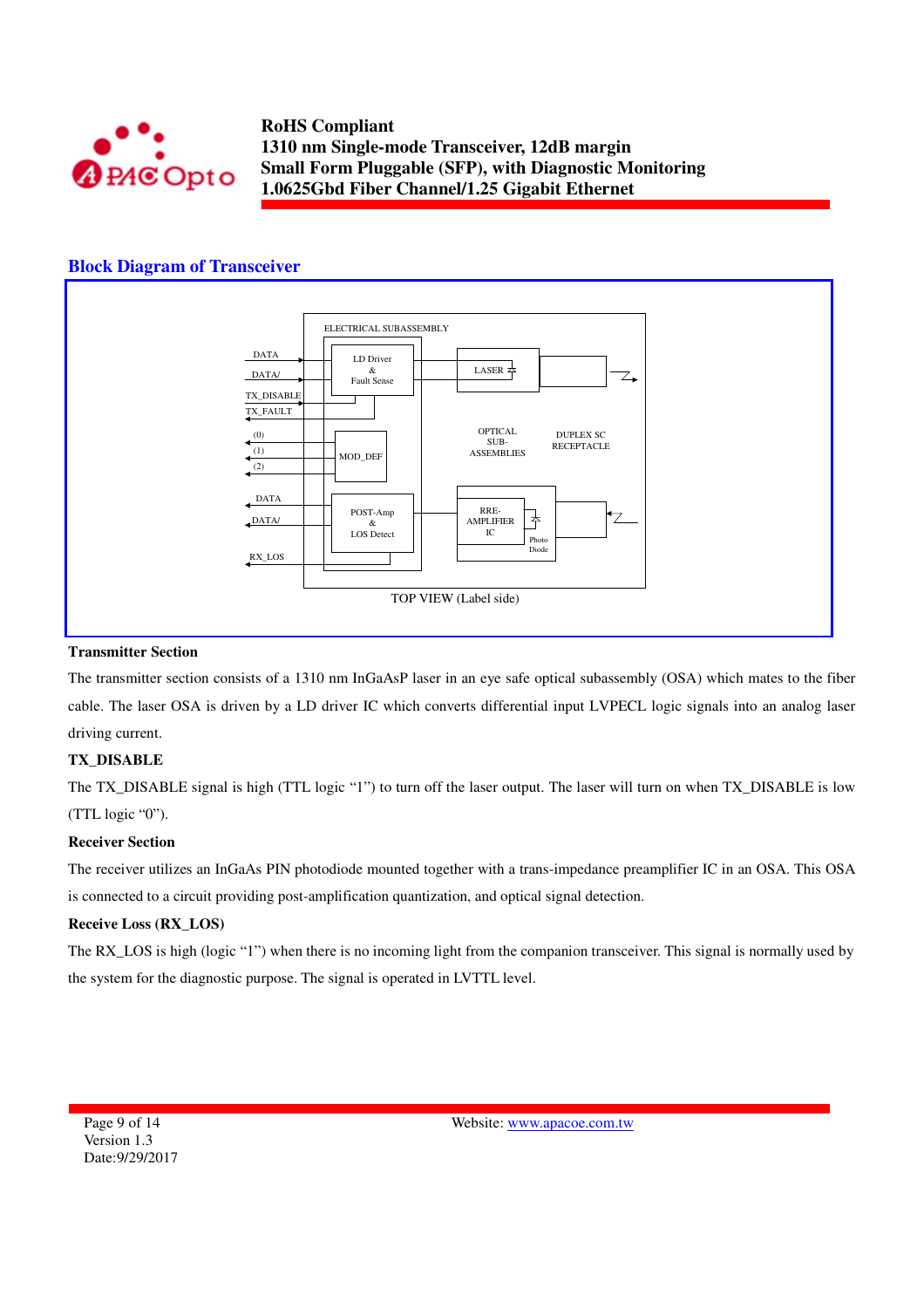

#### **Block Diagram of Transceiver**



#### **Transmitter Section**

The transmitter section consists of a 1310 nm InGaAsP laser in an eye safe optical subassembly (OSA) which mates to the fiber cable. The laser OSA is driven by a LD driver IC which converts differential input LVPECL logic signals into an analog laser driving current.

#### **TX\_DISABLE**

The TX\_DISABLE signal is high (TTL logic "1") to turn off the laser output. The laser will turn on when TX\_DISABLE is low (TTL logic "0").

#### **Receiver Section**

The receiver utilizes an InGaAs PIN photodiode mounted together with a trans-impedance preamplifier IC in an OSA. This OSA is connected to a circuit providing post-amplification quantization, and optical signal detection.

#### **Receive Loss (RX\_LOS)**

The RX\_LOS is high (logic "1") when there is no incoming light from the companion transceiver. This signal is normally used by the system for the diagnostic purpose. The signal is operated in LVTTL level.

Page 9 of 14 Version 1.3 Date:9/29/2017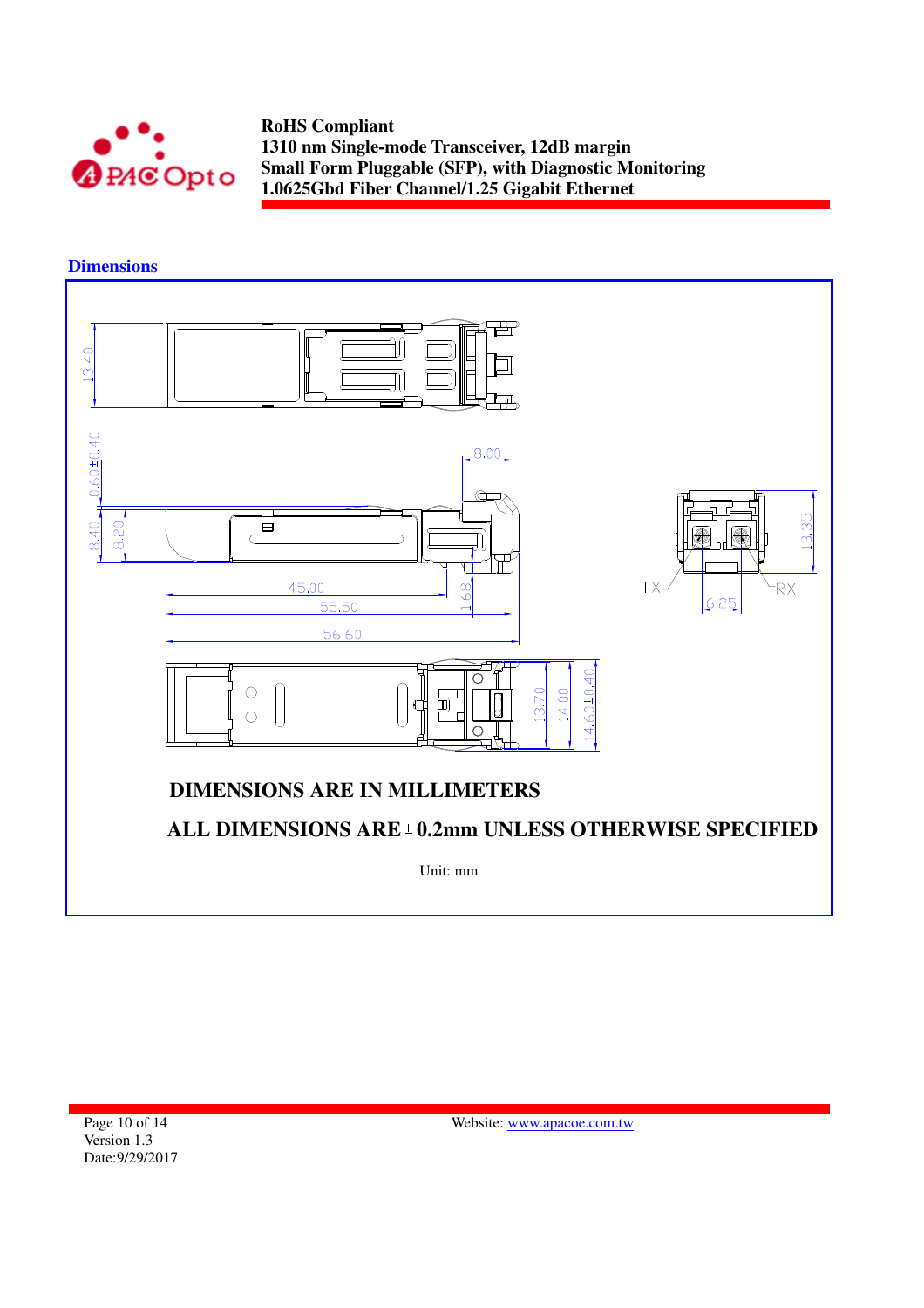

**Dimensions** 

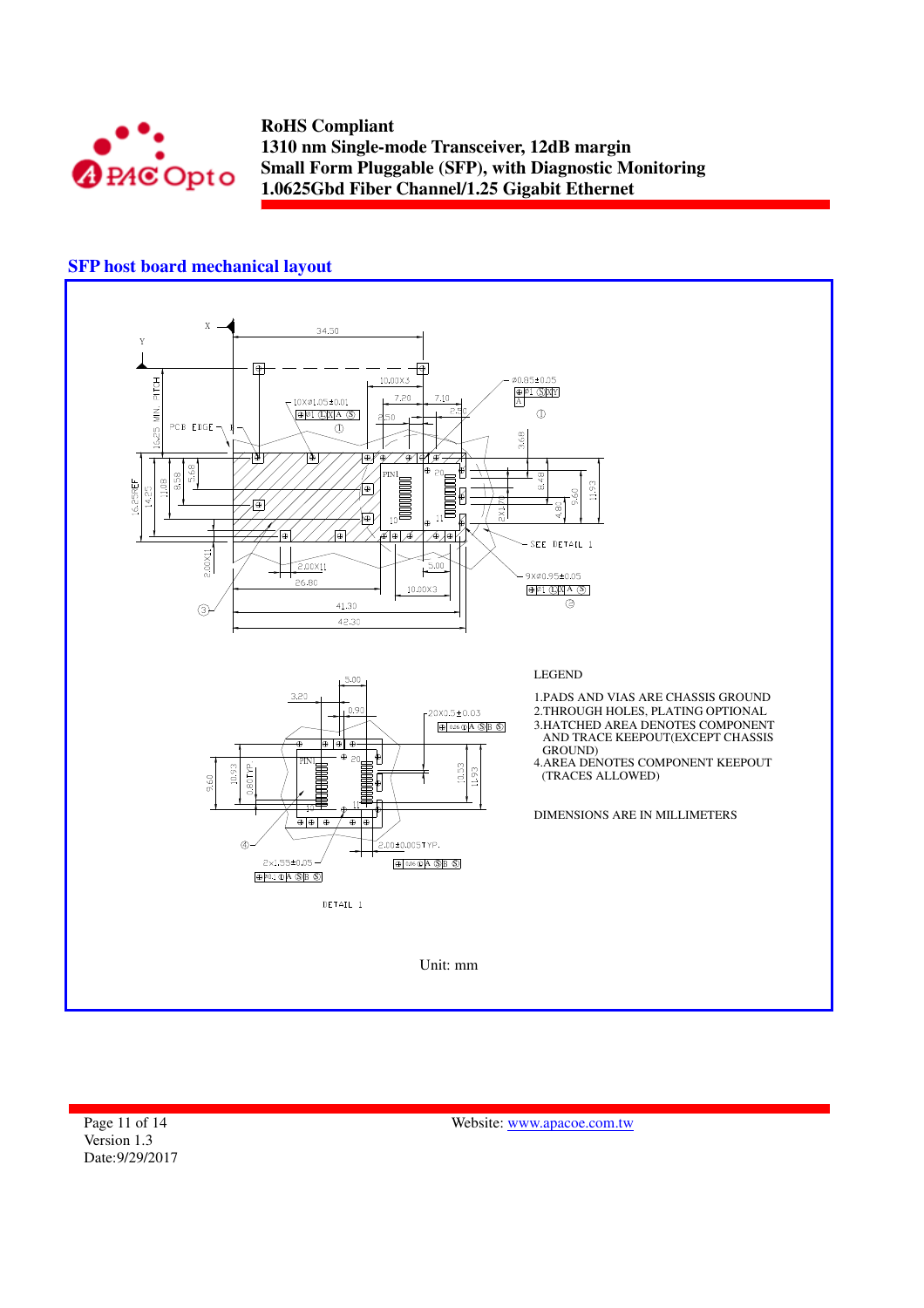

## **SFP host board mechanical layout**



Page 11 of 14 Version 1.3 Date:9/29/2017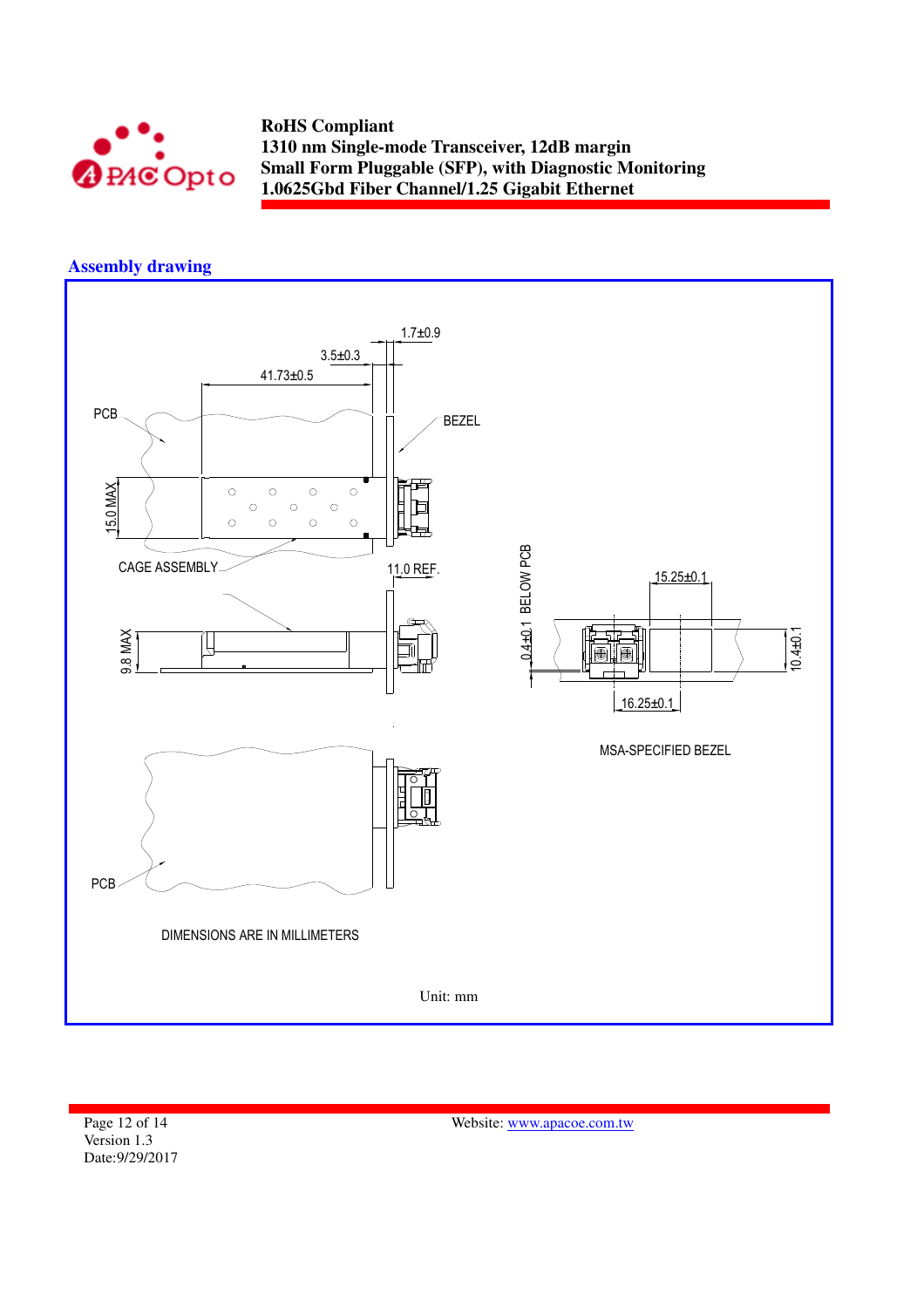

## **Assembly drawing**



Page 12 of 14 Version 1.3 Date:9/29/2017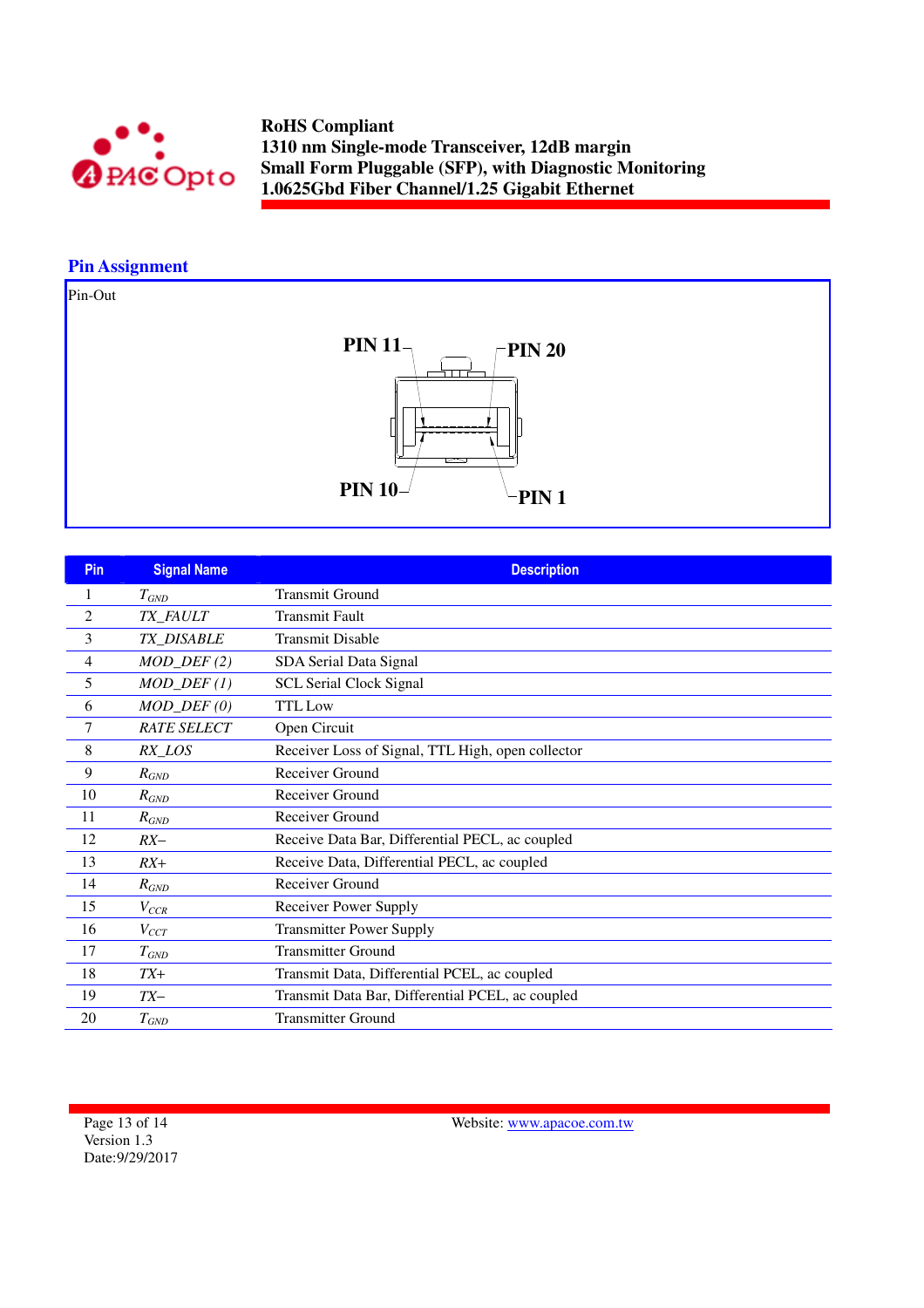

# **Pin Assignment**

Pin-Out



| Pin            | <b>Signal Name</b>          | <b>Description</b>                                |
|----------------|-----------------------------|---------------------------------------------------|
| 1              | $T_{GND}$                   | <b>Transmit Ground</b>                            |
| $\overline{2}$ | TX_FAULT                    | <b>Transmit Fault</b>                             |
| 3              | TX_DISABLE                  | <b>Transmit Disable</b>                           |
| 4              | $MOD_$ <del>DEF</del> $(2)$ | SDA Serial Data Signal                            |
| 5              | $MOD_$ <del>DEF</del> $(1)$ | <b>SCL Serial Clock Signal</b>                    |
| 6              | $MOD_$ <i>DEF</i> $(0)$     | <b>TTL</b> Low                                    |
| 7              | <b>RATE SELECT</b>          | Open Circuit                                      |
| 8              | RX_LOS                      | Receiver Loss of Signal, TTL High, open collector |
| 9              | $R_{GND}$                   | Receiver Ground                                   |
| 10             | $R_{GND}$                   | Receiver Ground                                   |
| 11             | $R_{GND}$                   | Receiver Ground                                   |
| 12             | $RX-$                       | Receive Data Bar, Differential PECL, ac coupled   |
| 13             | $RX+$                       | Receive Data, Differential PECL, ac coupled       |
| 14             | $R_{GND}$                   | Receiver Ground                                   |
| 15             | $V_{CCR}$                   | Receiver Power Supply                             |
| 16             | $V_{CCT}$                   | <b>Transmitter Power Supply</b>                   |
| 17             | $T_{GND}$                   | <b>Transmitter Ground</b>                         |
| 18             | $TX+$                       | Transmit Data, Differential PCEL, ac coupled      |
| 19             | $TX-$                       | Transmit Data Bar, Differential PCEL, ac coupled  |
| 20             | $T_{GND}$                   | <b>Transmitter Ground</b>                         |